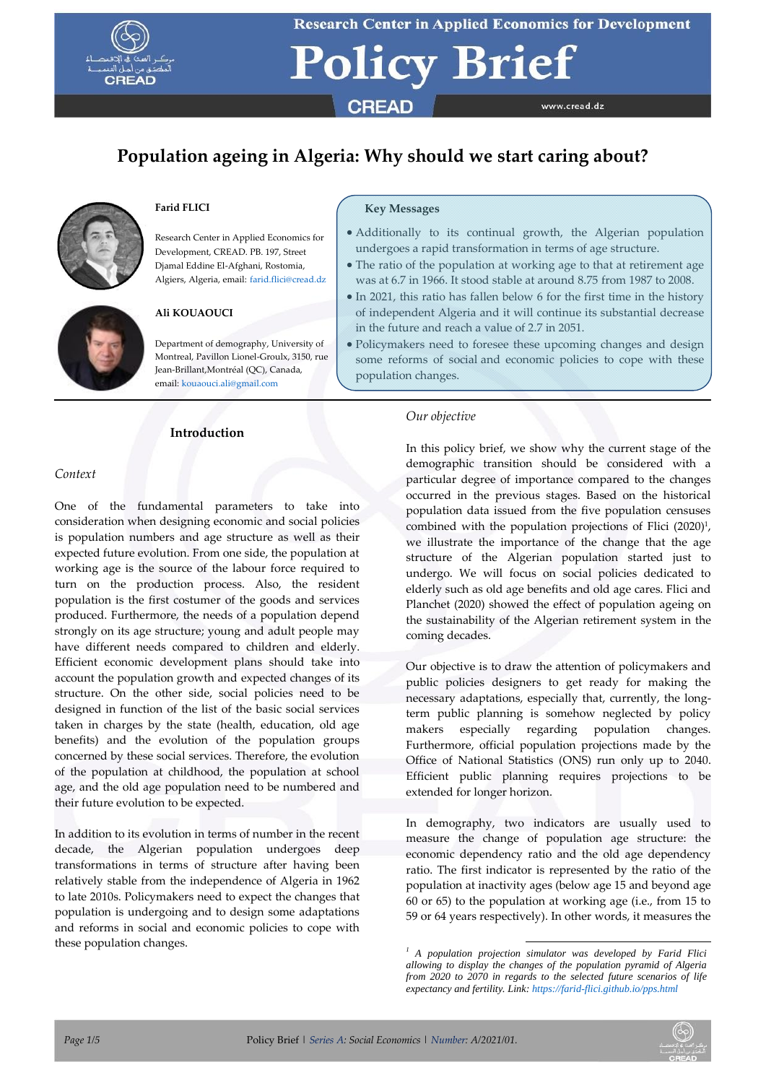

# **Policy Brief CREAD** www.cread.dz

## **Population ageing in Algeria: Why should we start caring about?**



### **Farid FLICI**

Research Center in Applied Economics for Development, CREAD. PB. 197, Street Djamal Eddine El-Afghani, Rostomia, Algiers, Algeria, email: [farid.flici@cread.dz](mailto:farid.flici@cread.dz)

### **Ali KOUAOUCI**

Department of demography, University of Montreal, Pavillon Lionel-Groulx, 3150, rue Jean-Brillant,Montréal (QC), Canada, email[: kouaouci.ali@gmail.com](mailto:kouaouci.ali@gmail.com)

### **Introduction**

### **Key Messages**

- Additionally to its continual growth, the Algerian population undergoes a rapid transformation in terms of age structure.
- The ratio of the population at working age to that at retirement age was at 6.7 in 1966. It stood stable at around 8.75 from 1987 to 2008.
- In 2021, this ratio has fallen below 6 for the first time in the history of independent Algeria and it will continue its substantial decrease in the future and reach a value of 2.7 in 2051.
- Policymakers need to foresee these upcoming changes and design some reforms of social and economic policies to cope with these population changes.

### *Context*

One of the fundamental parameters to take into consideration when designing economic and social policies is population numbers and age structure as well as their expected future evolution. From one side, the population at working age is the source of the labour force required to turn on the production process. Also, the resident population is the first costumer of the goods and services produced. Furthermore, the needs of a population depend strongly on its age structure; young and adult people may have different needs compared to children and elderly. Efficient economic development plans should take into account the population growth and expected changes of its structure. On the other side, social policies need to be designed in function of the list of the basic social services taken in charges by the state (health, education, old age benefits) and the evolution of the population groups concerned by these social services. Therefore, the evolution of the population at childhood, the population at school age, and the old age population need to be numbered and their future evolution to be expected.

In addition to its evolution in terms of number in the recent decade, the Algerian population undergoes deep transformations in terms of structure after having been relatively stable from the independence of Algeria in 1962 to late 2010s. Policymakers need to expect the changes that population is undergoing and to design some adaptations and reforms in social and economic policies to cope with these population changes.

### *Our objective*

In this policy brief, we show why the current stage of the demographic transition should be considered with a particular degree of importance compared to the changes occurred in the previous stages. Based on the historical population data issued from the five population censuses combined with the population projections of Flici (2020)<sup>1</sup>, we illustrate the importance of the change that the age structure of the Algerian population started just to undergo. We will focus on social policies dedicated to elderly such as old age benefits and old age cares. Flici and Planchet (2020) showed the effect of population ageing on the sustainability of the Algerian retirement system in the coming decades.

Our objective is to draw the attention of policymakers and public policies designers to get ready for making the necessary adaptations, especially that, currently, the longterm public planning is somehow neglected by policy makers especially regarding population changes. Furthermore, official population projections made by the Office of National Statistics (ONS) run only up to 2040. Efficient public planning requires projections to be extended for longer horizon.

In demography, two indicators are usually used to measure the change of population age structure: the economic dependency ratio and the old age dependency ratio. The first indicator is represented by the ratio of the population at inactivity ages (below age 15 and beyond age 60 or 65) to the population at working age (i.e., from 15 to 59 or 64 years respectively). In other words, it measures the



 *<sup>1</sup> A population projection simulator was developed by Farid Flici allowing to display the changes of the population pyramid of Algeria from 2020 to 2070 in regards to the selected future scenarios of life expectancy and fertility. Link[: https://farid-flici.github.io/pps.html](https://farid-flici.github.io/pps.html)*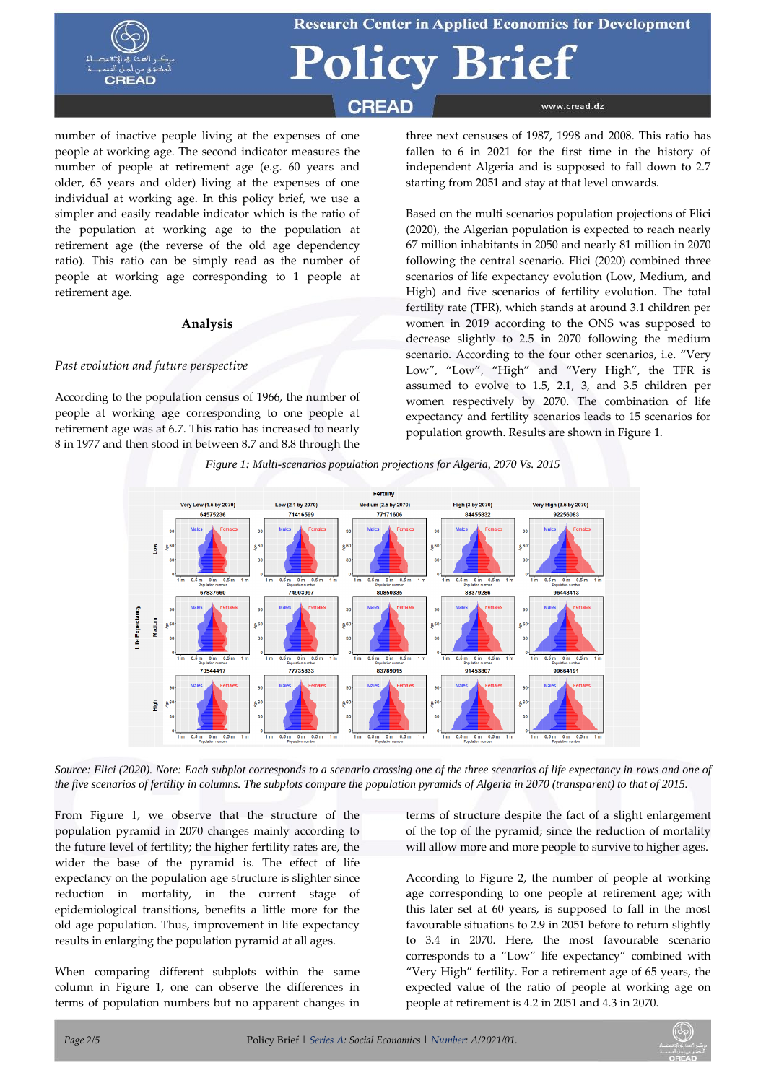

# icy Brief

### **CREAD**

number of inactive people living at the expenses of one people at working age. The second indicator measures the number of people at retirement age (e.g. 60 years and older, 65 years and older) living at the expenses of one individual at working age. In this policy brief, we use a simpler and easily readable indicator which is the ratio of the population at working age to the population at retirement age (the reverse of the old age dependency ratio). This ratio can be simply read as the number of people at working age corresponding to 1 people at retirement age.

### **Analysis**

### *Past evolution and future perspective*

According to the population census of 1966, the number of people at working age corresponding to one people at retirement age was at 6.7. This ratio has increased to nearly 8 in 1977 and then stood in between 8.7 and 8.8 through the

three next censuses of 1987, 1998 and 2008. This ratio has fallen to 6 in 2021 for the first time in the history of independent Algeria and is supposed to fall down to 2.7 starting from 2051 and stay at that level onwards.

www.cread.dz

Based on the multi scenarios population projections of Flici (2020), the Algerian population is expected to reach nearly 67 million inhabitants in 2050 and nearly 81 million in 2070 following the central scenario. Flici (2020) combined three scenarios of life expectancy evolution (Low, Medium, and High) and five scenarios of fertility evolution. The total fertility rate (TFR), which stands at around 3.1 children per women in 2019 according to the ONS was supposed to decrease slightly to 2.5 in 2070 following the medium scenario. According to the four other scenarios, i.e. "Very Low", "Low", "High" and "Very High", the TFR is assumed to evolve to 1.5, 2.1, 3, and 3.5 children per women respectively by 2070. The combination of life expectancy and fertility scenarios leads to 15 scenarios for population growth. Results are shown in Figure 1.



*Figure 1: Multi-scenarios population projections for Algeria, 2070 Vs. 2015*

*Source: Flici (2020). Note: Each subplot corresponds to a scenario crossing one of the three scenarios of life expectancy in rows and one of the five scenarios of fertility in columns. The subplots compare the population pyramids of Algeria in 2070 (transparent) to that of 2015.*

From Figure 1, we observe that the structure of the population pyramid in 2070 changes mainly according to the future level of fertility; the higher fertility rates are, the wider the base of the pyramid is. The effect of life expectancy on the population age structure is slighter since reduction in mortality, in the current stage of epidemiological transitions, benefits a little more for the old age population. Thus, improvement in life expectancy results in enlarging the population pyramid at all ages.

When comparing different subplots within the same column in Figure 1, one can observe the differences in terms of population numbers but no apparent changes in terms of structure despite the fact of a slight enlargement of the top of the pyramid; since the reduction of mortality will allow more and more people to survive to higher ages.

According to Figure 2, the number of people at working age corresponding to one people at retirement age; with this later set at 60 years, is supposed to fall in the most favourable situations to 2.9 in 2051 before to return slightly to 3.4 in 2070. Here, the most favourable scenario corresponds to a "Low" life expectancy" combined with "Very High" fertility. For a retirement age of 65 years, the expected value of the ratio of people at working age on people at retirement is 4.2 in 2051 and 4.3 in 2070.

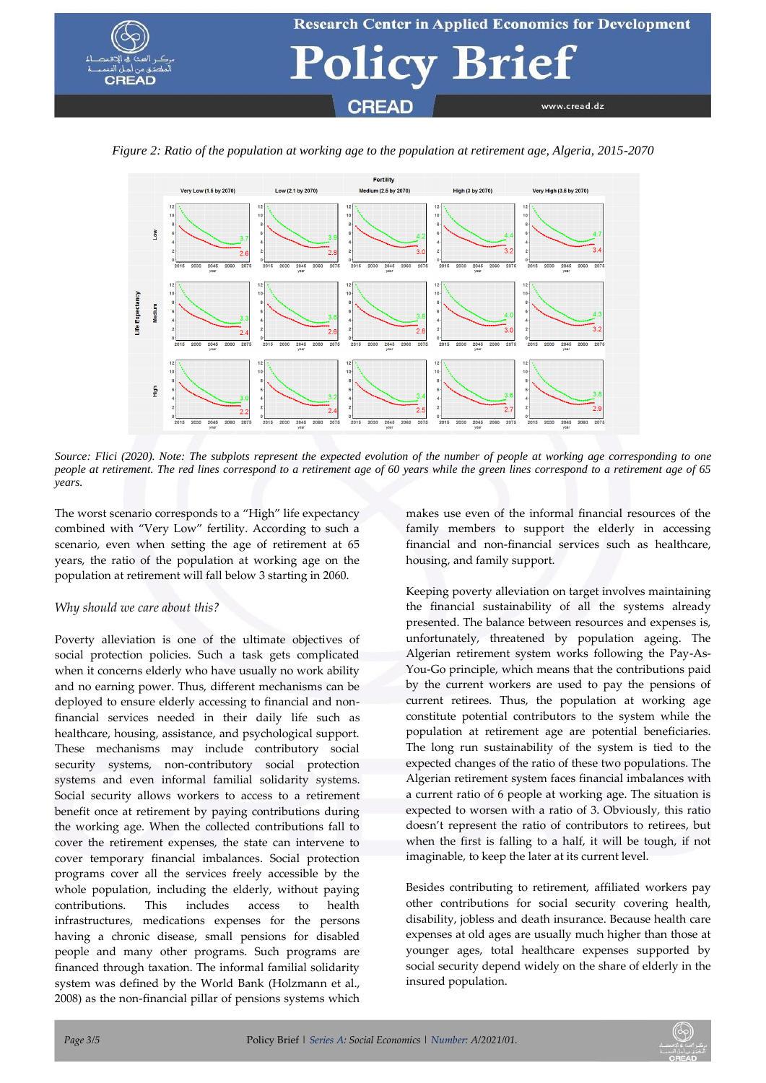



*Figure 2: Ratio of the population at working age to the population at retirement age, Algeria, 2015-2070*

*Source: Flici (2020). Note: The subplots represent the expected evolution of the number of people at working age corresponding to one people at retirement. The red lines correspond to a retirement age of 60 years while the green lines correspond to a retirement age of 65 years.*

The worst scenario corresponds to a "High" life expectancy combined with "Very Low" fertility. According to such a scenario, even when setting the age of retirement at 65 years, the ratio of the population at working age on the population at retirement will fall below 3 starting in 2060.

### *Why should we care about this?*

Poverty alleviation is one of the ultimate objectives of social protection policies. Such a task gets complicated when it concerns elderly who have usually no work ability and no earning power. Thus, different mechanisms can be deployed to ensure elderly accessing to financial and nonfinancial services needed in their daily life such as healthcare, housing, assistance, and psychological support. These mechanisms may include contributory social security systems, non-contributory social protection systems and even informal familial solidarity systems. Social security allows workers to access to a retirement benefit once at retirement by paying contributions during the working age. When the collected contributions fall to cover the retirement expenses, the state can intervene to cover temporary financial imbalances. Social protection programs cover all the services freely accessible by the whole population, including the elderly, without paying contributions. This includes access to health infrastructures, medications expenses for the persons having a chronic disease, small pensions for disabled people and many other programs. Such programs are financed through taxation. The informal familial solidarity system was defined by the World Bank (Holzmann et al., 2008) as the non-financial pillar of pensions systems which

makes use even of the informal financial resources of the family members to support the elderly in accessing financial and non-financial services such as healthcare, housing, and family support.

Keeping poverty alleviation on target involves maintaining the financial sustainability of all the systems already presented. The balance between resources and expenses is, unfortunately, threatened by population ageing. The Algerian retirement system works following the Pay-As-You-Go principle, which means that the contributions paid by the current workers are used to pay the pensions of current retirees. Thus, the population at working age constitute potential contributors to the system while the population at retirement age are potential beneficiaries. The long run sustainability of the system is tied to the expected changes of the ratio of these two populations. The Algerian retirement system faces financial imbalances with a current ratio of 6 people at working age. The situation is expected to worsen with a ratio of 3. Obviously, this ratio doesn't represent the ratio of contributors to retirees, but when the first is falling to a half, it will be tough, if not imaginable, to keep the later at its current level.

Besides contributing to retirement, affiliated workers pay other contributions for social security covering health, disability, jobless and death insurance. Because health care expenses at old ages are usually much higher than those at younger ages, total healthcare expenses supported by social security depend widely on the share of elderly in the insured population.

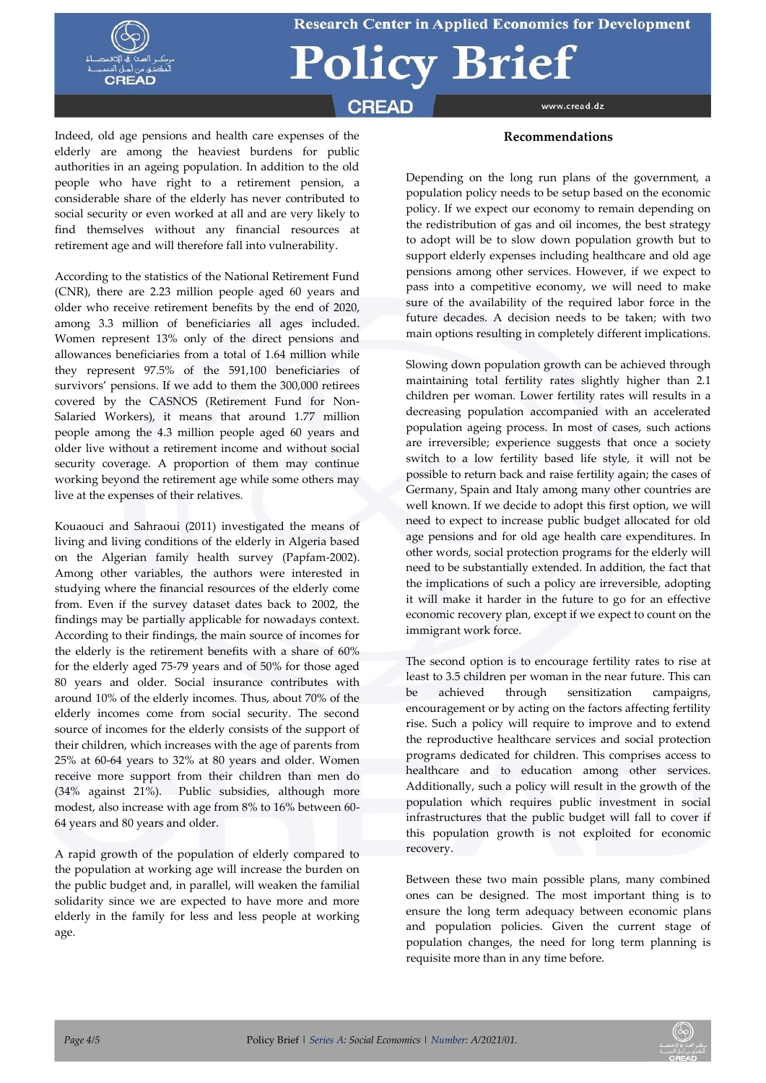

# **Policy Brief**

**CREAD** 

www.cread.dz

Indeed, old age pensions and health care expenses of the elderly are among the heaviest burdens for public authorities in an ageing population. In addition to the old people who have right to a retirement pension, a considerable share of the elderly has never contributed to social security or even worked at all and are very likely to find themselves without any financial resources at retirement age and will therefore fall into vulnerability.

According to the statistics of the National Retirement Fund (CNR), there are 2.23 million people aged 60 years and older who receive retirement benefits by the end of 2020, among 3.3 million of beneficiaries all ages included. Women represent 13% only of the direct pensions and allowances beneficiaries from a total of 1.64 million while they represent 97.5% of the 591,100 beneficiaries of survivors' pensions. If we add to them the 300,000 retirees covered by the CASNOS (Retirement Fund for Non-Salaried Workers), it means that around 1.77 million people among the 4.3 million people aged 60 years and older live without a retirement income and without social security coverage. A proportion of them may continue working beyond the retirement age while some others may live at the expenses of their relatives.

Kouaouci and Sahraoui (2011) investigated the means of living and living conditions of the elderly in Algeria based on the Algerian family health survey (Papfam-2002). Among other variables, the authors were interested in studying where the financial resources of the elderly come from. Even if the survey dataset dates back to 2002, the findings may be partially applicable for nowadays context. According to their findings, the main source of incomes for the elderly is the retirement benefits with a share of 60% for the elderly aged 75-79 years and of 50% for those aged 80 years and older. Social insurance contributes with around 10% of the elderly incomes. Thus, about 70% of the elderly incomes come from social security. The second source of incomes for the elderly consists of the support of their children, which increases with the age of parents from 25% at 60-64 years to 32% at 80 years and older. Women receive more support from their children than men do (34% against 21%). Public subsidies, although more modest, also increase with age from 8% to 16% between 60- 64 years and 80 years and older.

A rapid growth of the population of elderly compared to the population at working age will increase the burden on the public budget and, in parallel, will weaken the familial solidarity since we are expected to have more and more elderly in the family for less and less people at working age.

### **Recommendations**

Depending on the long run plans of the government, a population policy needs to be setup based on the economic policy. If we expect our economy to remain depending on the redistribution of gas and oil incomes, the best strategy to adopt will be to slow down population growth but to support elderly expenses including healthcare and old age pensions among other services. However, if we expect to pass into a competitive economy, we will need to make sure of the availability of the required labor force in the future decades. A decision needs to be taken; with two main options resulting in completely different implications.

Slowing down population growth can be achieved through maintaining total fertility rates slightly higher than 2.1 children per woman. Lower fertility rates will results in a decreasing population accompanied with an accelerated population ageing process. In most of cases, such actions are irreversible; experience suggests that once a society switch to a low fertility based life style, it will not be possible to return back and raise fertility again; the cases of Germany, Spain and Italy among many other countries are well known. If we decide to adopt this first option, we will need to expect to increase public budget allocated for old age pensions and for old age health care expenditures. In other words, social protection programs for the elderly will need to be substantially extended. In addition, the fact that the implications of such a policy are irreversible, adopting it will make it harder in the future to go for an effective economic recovery plan, except if we expect to count on the immigrant work force.

The second option is to encourage fertility rates to rise at least to 3.5 children per woman in the near future. This can be achieved through sensitization campaigns, encouragement or by acting on the factors affecting fertility rise. Such a policy will require to improve and to extend the reproductive healthcare services and social protection programs dedicated for children. This comprises access to healthcare and to education among other services. Additionally, such a policy will result in the growth of the population which requires public investment in social infrastructures that the public budget will fall to cover if this population growth is not exploited for economic recovery.

Between these two main possible plans, many combined ones can be designed. The most important thing is to ensure the long term adequacy between economic plans and population policies. Given the current stage of population changes, the need for long term planning is requisite more than in any time before.

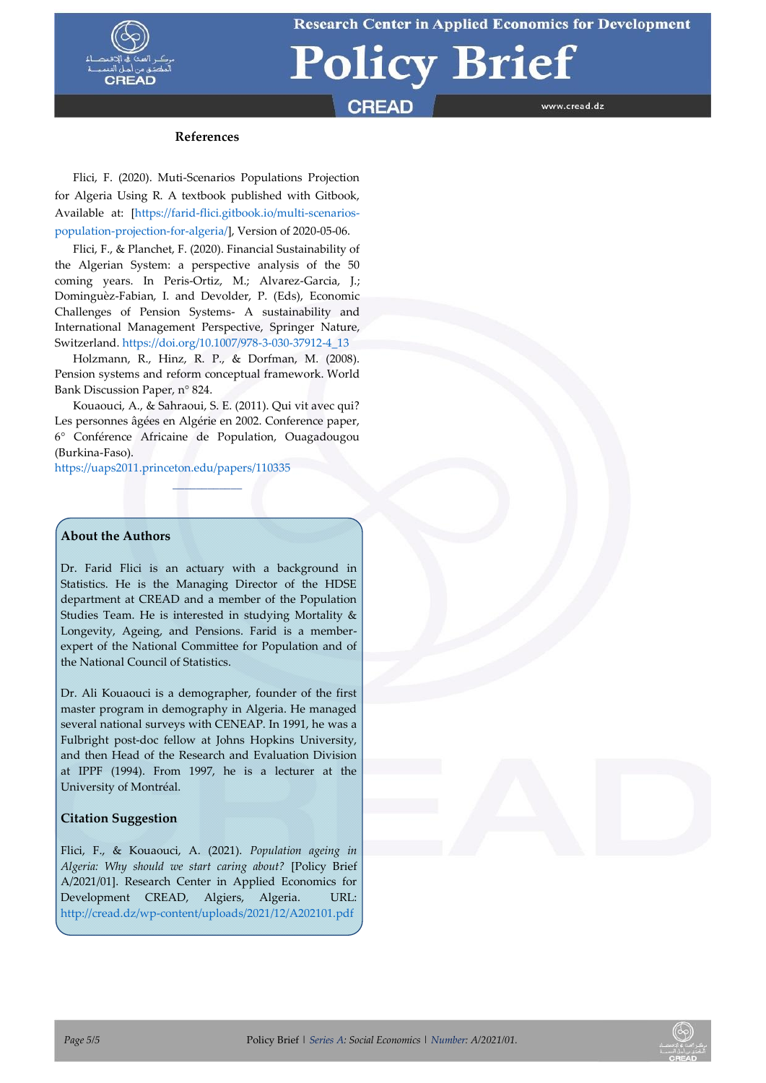

# **Policy Brief**

## **CREAD**

www.cread.dz

### **References**

Flici, F. (2020). Muti-Scenarios Populations Projection for Algeria Using R. A textbook published with Gitbook, Available at: [\[https://farid-flici.gitbook.io/multi-scenarios](https://farid-flici.gitbook.io/multi-scenarios-population-projection-for-algeria/)[population-projection-for-algeria/\]](https://farid-flici.gitbook.io/multi-scenarios-population-projection-for-algeria/), Version of 2020-05-06[.](https://doi.org/10.1353/prv.2020.0001)

[Flici, F.,](https://doi.org/10.1353/prv.2020.0001) & Planchet, F. (2020)[. Financial Sustainability of](https://link.springer.com/chapter/10.1007/978-3-030-37912-4_13)  [the Algerian System: a perspective analysis of the 50](https://link.springer.com/chapter/10.1007/978-3-030-37912-4_13)  [coming years.](https://link.springer.com/chapter/10.1007/978-3-030-37912-4_13) In Peris-Ortiz, M.; Alvarez-Garcia, J.; Dominguèz-Fabian, I. and Devolder, P. (Eds), [Economic](https://www.springer.com/gp/book/9783030379117)  [Challenges of Pension Systems-](https://www.springer.com/gp/book/9783030379117) A sustainability and [International Management Perspective,](https://www.springer.com/gp/book/9783030379117) Springer Nature, Switzerland. [https://doi.org/10.1007/978-3-030-37912-4\\_13](https://doi.org/10.1007/978-3-030-37912-4_13)

Holzmann, R., Hinz, R. P., & Dorfman, M. (2008). Pension systems and reform conceptual framework. World Bank Discussion Paper, n° 824.

Kouaouci, A., & Sahraoui, S. E. (2011). Qui vit avec qui? Les personnes âgées en Algérie en 2002. Conference paper, 6° Conférence Africaine de Population, Ouagadougou (Burkina-Faso).

 $\overline{\phantom{a}}$ 

<https://uaps2011.princeton.edu/papers/110335>

### **About the Authors**

Dr. Farid Flici is an actuary with a background in Statistics. He is the Managing Director of the HDSE department at CREAD and a member of the Population Studies Team. He is interested in studying Mortality & Longevity, Ageing, and Pensions. Farid is a memberexpert of the National Committee for Population and of the National Council of Statistics.

Dr. Ali Kouaouci is a demographer, founder of the first master program in demography in Algeria. He managed several national surveys with CENEAP. In 1991, he was a Fulbright post-doc fellow at Johns Hopkins University, and then Head of the Research and Evaluation Division at IPPF (1994). From 1997, he is a lecturer at the University of Montréal.

### **Citation Suggestion**

Flici, F., & Kouaouci, A. (2021). *Population ageing in Algeria: Why should we start caring about?* [Policy Brief A/2021/01]. Research Center in Applied Economics for Development CREAD, Algiers, Algeria. URL: <http://cread.dz/wp-content/uploads/2021/12/A202101.pdf>